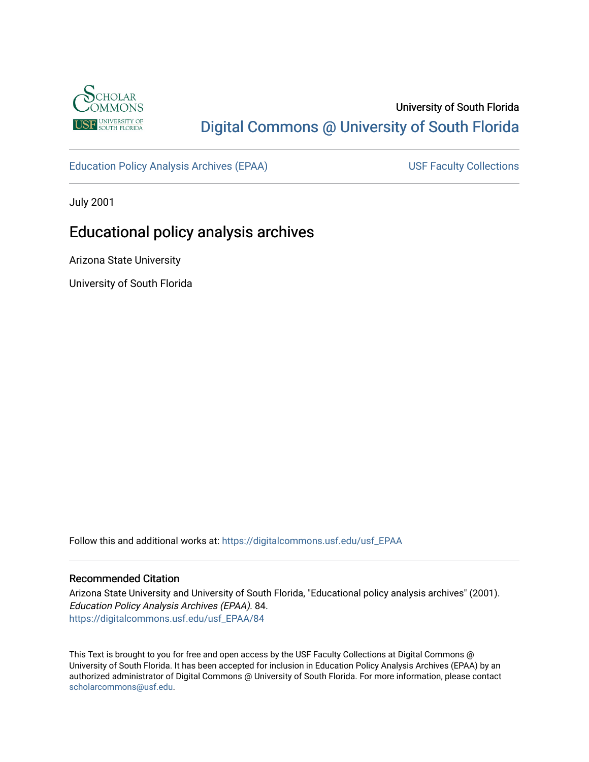

# University of South Florida [Digital Commons @ University of South Florida](https://digitalcommons.usf.edu/)

[Education Policy Analysis Archives \(EPAA\)](https://digitalcommons.usf.edu/usf_EPAA) USF Faculty Collections

July 2001

# Educational policy analysis archives

Arizona State University

University of South Florida

Follow this and additional works at: [https://digitalcommons.usf.edu/usf\\_EPAA](https://digitalcommons.usf.edu/usf_EPAA?utm_source=digitalcommons.usf.edu%2Fusf_EPAA%2F84&utm_medium=PDF&utm_campaign=PDFCoverPages)

#### Recommended Citation

Arizona State University and University of South Florida, "Educational policy analysis archives" (2001). Education Policy Analysis Archives (EPAA). 84. [https://digitalcommons.usf.edu/usf\\_EPAA/84](https://digitalcommons.usf.edu/usf_EPAA/84?utm_source=digitalcommons.usf.edu%2Fusf_EPAA%2F84&utm_medium=PDF&utm_campaign=PDFCoverPages) 

This Text is brought to you for free and open access by the USF Faculty Collections at Digital Commons @ University of South Florida. It has been accepted for inclusion in Education Policy Analysis Archives (EPAA) by an authorized administrator of Digital Commons @ University of South Florida. For more information, please contact [scholarcommons@usf.edu.](mailto:scholarcommons@usf.edu)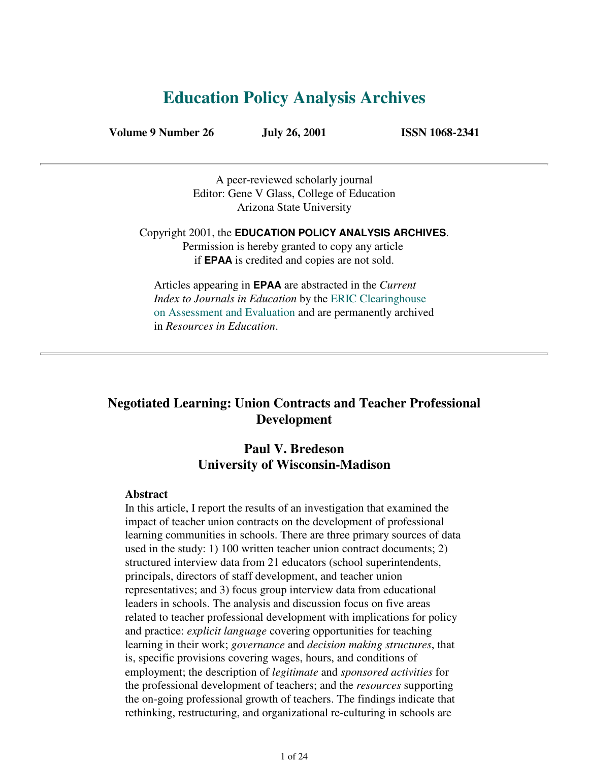# **Education Policy Analysis Archives**

**Volume 9 Number 26 July 26, 2001 ISSN 1068-2341**

A peer-reviewed scholarly journal Editor: Gene V Glass, College of Education Arizona State University

Copyright 2001, the **EDUCATION POLICY ANALYSIS ARCHIVES**. Permission is hereby granted to copy any article if **EPAA** is credited and copies are not sold.

Articles appearing in **EPAA** are abstracted in the *Current Index to Journals in Education* by the ERIC Clearinghouse on Assessment and Evaluation and are permanently archived in *Resources in Education*.

# **Negotiated Learning: Union Contracts and Teacher Professional Development**

# **Paul V. Bredeson University of Wisconsin-Madison**

#### **Abstract**

In this article, I report the results of an investigation that examined the impact of teacher union contracts on the development of professional learning communities in schools. There are three primary sources of data used in the study: 1) 100 written teacher union contract documents; 2) structured interview data from 21 educators (school superintendents, principals, directors of staff development, and teacher union representatives; and 3) focus group interview data from educational leaders in schools. The analysis and discussion focus on five areas related to teacher professional development with implications for policy and practice: *explicit language* covering opportunities for teaching learning in their work; *governance* and *decision making structures*, that is, specific provisions covering wages, hours, and conditions of employment; the description of *legitimate* and *sponsored activities* for the professional development of teachers; and the *resources* supporting the on-going professional growth of teachers. The findings indicate that rethinking, restructuring, and organizational re-culturing in schools are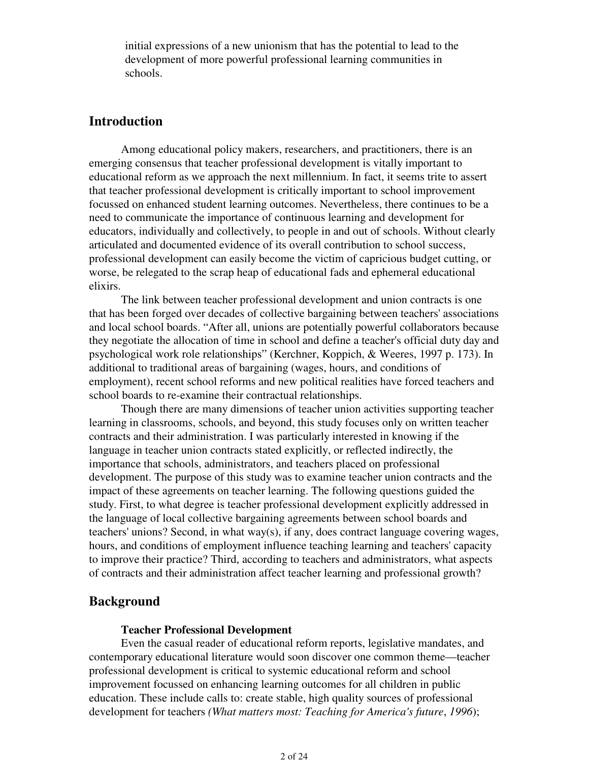initial expressions of a new unionism that has the potential to lead to the development of more powerful professional learning communities in schools.

# **Introduction**

 Among educational policy makers, researchers, and practitioners, there is an emerging consensus that teacher professional development is vitally important to educational reform as we approach the next millennium. In fact, it seems trite to assert that teacher professional development is critically important to school improvement focussed on enhanced student learning outcomes. Nevertheless, there continues to be a need to communicate the importance of continuous learning and development for educators, individually and collectively, to people in and out of schools. Without clearly articulated and documented evidence of its overall contribution to school success, professional development can easily become the victim of capricious budget cutting, or worse, be relegated to the scrap heap of educational fads and ephemeral educational elixirs.

 The link between teacher professional development and union contracts is one that has been forged over decades of collective bargaining between teachers' associations and local school boards. "After all, unions are potentially powerful collaborators because they negotiate the allocation of time in school and define a teacher's official duty day and psychological work role relationships" (Kerchner, Koppich, & Weeres, 1997 p. 173). In additional to traditional areas of bargaining (wages, hours, and conditions of employment), recent school reforms and new political realities have forced teachers and school boards to re-examine their contractual relationships.

 Though there are many dimensions of teacher union activities supporting teacher learning in classrooms, schools, and beyond, this study focuses only on written teacher contracts and their administration. I was particularly interested in knowing if the language in teacher union contracts stated explicitly, or reflected indirectly, the importance that schools, administrators, and teachers placed on professional development. The purpose of this study was to examine teacher union contracts and the impact of these agreements on teacher learning. The following questions guided the study. First, to what degree is teacher professional development explicitly addressed in the language of local collective bargaining agreements between school boards and teachers' unions? Second, in what way(s), if any, does contract language covering wages, hours, and conditions of employment influence teaching learning and teachers' capacity to improve their practice? Third, according to teachers and administrators, what aspects of contracts and their administration affect teacher learning and professional growth?

## **Background**

#### **Teacher Professional Development**

 Even the casual reader of educational reform reports, legislative mandates, and contemporary educational literature would soon discover one common theme—teacher professional development is critical to systemic educational reform and school improvement focussed on enhancing learning outcomes for all children in public education. These include calls to: create stable, high quality sources of professional development for teachers *(What matters most: Teaching for America's future*, *1996*);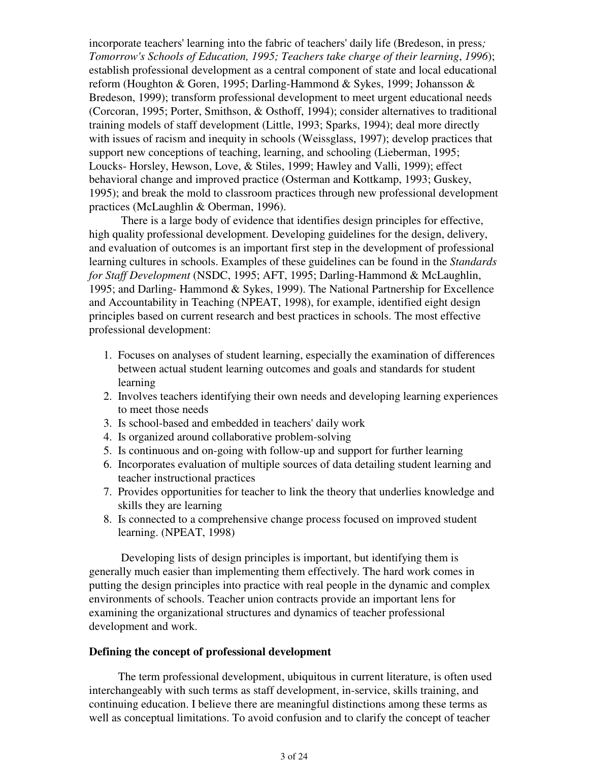incorporate teachers' learning into the fabric of teachers' daily life (Bredeson, in press*; Tomorrow's Schools of Education, 1995; Teachers take charge of their learning*, *1996*); establish professional development as a central component of state and local educational reform (Houghton & Goren, 1995; Darling-Hammond & Sykes, 1999; Johansson & Bredeson, 1999); transform professional development to meet urgent educational needs (Corcoran, 1995; Porter, Smithson, & Osthoff, 1994); consider alternatives to traditional training models of staff development (Little, 1993; Sparks, 1994); deal more directly with issues of racism and inequity in schools (Weissglass, 1997); develop practices that support new conceptions of teaching, learning, and schooling (Lieberman, 1995; Loucks- Horsley, Hewson, Love, & Stiles, 1999; Hawley and Valli, 1999); effect behavioral change and improved practice (Osterman and Kottkamp, 1993; Guskey, 1995); and break the mold to classroom practices through new professional development practices (McLaughlin & Oberman, 1996).

 There is a large body of evidence that identifies design principles for effective, high quality professional development. Developing guidelines for the design, delivery, and evaluation of outcomes is an important first step in the development of professional learning cultures in schools. Examples of these guidelines can be found in the *Standards for Staff Development* (NSDC, 1995; AFT, 1995; Darling-Hammond & McLaughlin, 1995; and Darling- Hammond & Sykes, 1999). The National Partnership for Excellence and Accountability in Teaching (NPEAT, 1998), for example, identified eight design principles based on current research and best practices in schools. The most effective professional development:

- Focuses on analyses of student learning, especially the examination of differences 1. between actual student learning outcomes and goals and standards for student learning
- 2. Involves teachers identifying their own needs and developing learning experiences to meet those needs
- 3. Is school-based and embedded in teachers' daily work
- 4. Is organized around collaborative problem-solving
- 5. Is continuous and on-going with follow-up and support for further learning
- 6. Incorporates evaluation of multiple sources of data detailing student learning and teacher instructional practices
- 7. Provides opportunities for teacher to link the theory that underlies knowledge and skills they are learning
- 8. Is connected to a comprehensive change process focused on improved student learning. (NPEAT, 1998)

 Developing lists of design principles is important, but identifying them is generally much easier than implementing them effectively. The hard work comes in putting the design principles into practice with real people in the dynamic and complex environments of schools. Teacher union contracts provide an important lens for examining the organizational structures and dynamics of teacher professional development and work.

#### **Defining the concept of professional development**

The term professional development, ubiquitous in current literature, is often used interchangeably with such terms as staff development, in-service, skills training, and continuing education. I believe there are meaningful distinctions among these terms as well as conceptual limitations. To avoid confusion and to clarify the concept of teacher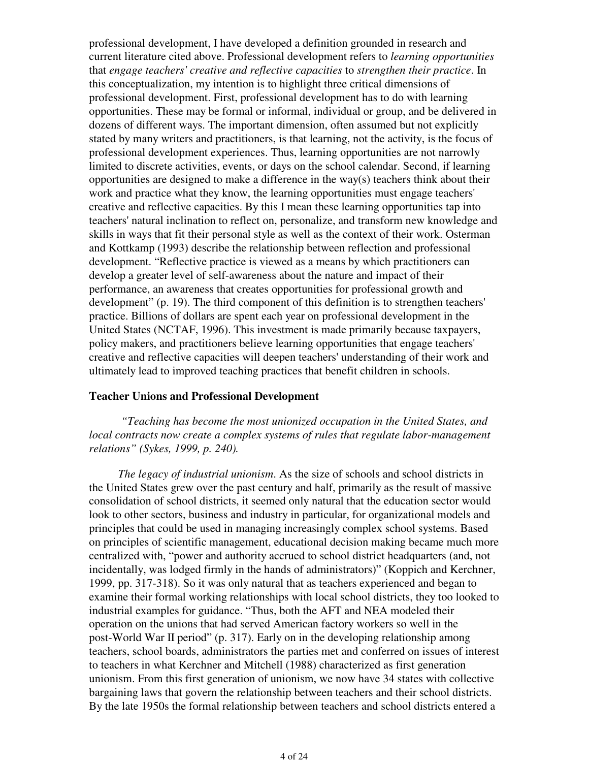professional development, I have developed a definition grounded in research and current literature cited above. Professional development refers to *learning opportunities* that *engage teachers' creative and reflective capacities* to *strengthen their practice*. In this conceptualization, my intention is to highlight three critical dimensions of professional development. First, professional development has to do with learning opportunities. These may be formal or informal, individual or group, and be delivered in dozens of different ways. The important dimension, often assumed but not explicitly stated by many writers and practitioners, is that learning, not the activity, is the focus of professional development experiences. Thus, learning opportunities are not narrowly limited to discrete activities, events, or days on the school calendar. Second, if learning opportunities are designed to make a difference in the way(s) teachers think about their work and practice what they know, the learning opportunities must engage teachers' creative and reflective capacities. By this I mean these learning opportunities tap into teachers' natural inclination to reflect on, personalize, and transform new knowledge and skills in ways that fit their personal style as well as the context of their work. Osterman and Kottkamp (1993) describe the relationship between reflection and professional development. "Reflective practice is viewed as a means by which practitioners can develop a greater level of self-awareness about the nature and impact of their performance, an awareness that creates opportunities for professional growth and development" (p. 19). The third component of this definition is to strengthen teachers' practice. Billions of dollars are spent each year on professional development in the United States (NCTAF, 1996). This investment is made primarily because taxpayers, policy makers, and practitioners believe learning opportunities that engage teachers' creative and reflective capacities will deepen teachers' understanding of their work and ultimately lead to improved teaching practices that benefit children in schools.

#### **Teacher Unions and Professional Development**

*"Teaching has become the most unionized occupation in the United States, and local contracts now create a complex systems of rules that regulate labor-management relations" (Sykes, 1999, p. 240).*

*The legacy of industrial unionism*. As the size of schools and school districts in the United States grew over the past century and half, primarily as the result of massive consolidation of school districts, it seemed only natural that the education sector would look to other sectors, business and industry in particular, for organizational models and principles that could be used in managing increasingly complex school systems. Based on principles of scientific management, educational decision making became much more centralized with, "power and authority accrued to school district headquarters (and, not incidentally, was lodged firmly in the hands of administrators)" (Koppich and Kerchner, 1999, pp. 317-318). So it was only natural that as teachers experienced and began to examine their formal working relationships with local school districts, they too looked to industrial examples for guidance. "Thus, both the AFT and NEA modeled their operation on the unions that had served American factory workers so well in the post-World War II period" (p. 317). Early on in the developing relationship among teachers, school boards, administrators the parties met and conferred on issues of interest to teachers in what Kerchner and Mitchell (1988) characterized as first generation unionism. From this first generation of unionism, we now have 34 states with collective bargaining laws that govern the relationship between teachers and their school districts. By the late 1950s the formal relationship between teachers and school districts entered a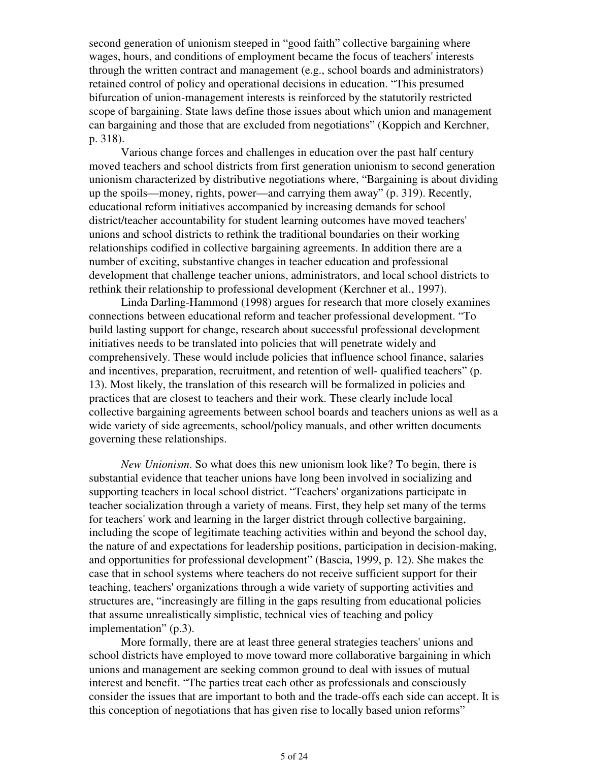second generation of unionism steeped in "good faith" collective bargaining where wages, hours, and conditions of employment became the focus of teachers' interests through the written contract and management (e.g., school boards and administrators) retained control of policy and operational decisions in education. "This presumed bifurcation of union-management interests is reinforced by the statutorily restricted scope of bargaining. State laws define those issues about which union and management can bargaining and those that are excluded from negotiations" (Koppich and Kerchner, p. 318).

 Various change forces and challenges in education over the past half century moved teachers and school districts from first generation unionism to second generation unionism characterized by distributive negotiations where, "Bargaining is about dividing up the spoils—money, rights, power—and carrying them away" (p. 319). Recently, educational reform initiatives accompanied by increasing demands for school district/teacher accountability for student learning outcomes have moved teachers' unions and school districts to rethink the traditional boundaries on their working relationships codified in collective bargaining agreements. In addition there are a number of exciting, substantive changes in teacher education and professional development that challenge teacher unions, administrators, and local school districts to rethink their relationship to professional development (Kerchner et al., 1997).

 Linda Darling-Hammond (1998) argues for research that more closely examines connections between educational reform and teacher professional development. "To build lasting support for change, research about successful professional development initiatives needs to be translated into policies that will penetrate widely and comprehensively. These would include policies that influence school finance, salaries and incentives, preparation, recruitment, and retention of well- qualified teachers" (p. 13). Most likely, the translation of this research will be formalized in policies and practices that are closest to teachers and their work. These clearly include local collective bargaining agreements between school boards and teachers unions as well as a wide variety of side agreements, school/policy manuals, and other written documents governing these relationships.

*New Unionism*. So what does this new unionism look like? To begin, there is substantial evidence that teacher unions have long been involved in socializing and supporting teachers in local school district. "Teachers' organizations participate in teacher socialization through a variety of means. First, they help set many of the terms for teachers' work and learning in the larger district through collective bargaining, including the scope of legitimate teaching activities within and beyond the school day, the nature of and expectations for leadership positions, participation in decision-making, and opportunities for professional development" (Bascia, 1999, p. 12). She makes the case that in school systems where teachers do not receive sufficient support for their teaching, teachers' organizations through a wide variety of supporting activities and structures are, "increasingly are filling in the gaps resulting from educational policies that assume unrealistically simplistic, technical vies of teaching and policy implementation" (p.3).

 More formally, there are at least three general strategies teachers' unions and school districts have employed to move toward more collaborative bargaining in which unions and management are seeking common ground to deal with issues of mutual interest and benefit. "The parties treat each other as professionals and consciously consider the issues that are important to both and the trade-offs each side can accept. It is this conception of negotiations that has given rise to locally based union reforms"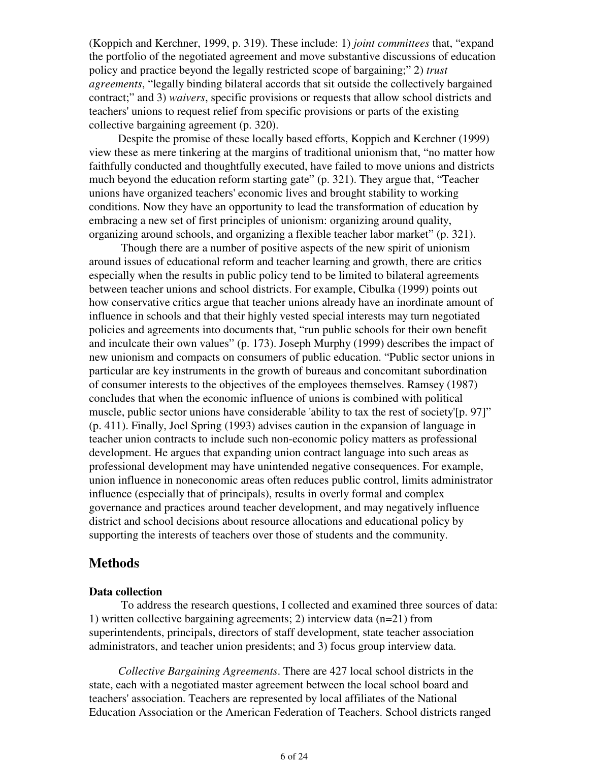(Koppich and Kerchner, 1999, p. 319). These include: 1) *joint committees* that, "expand the portfolio of the negotiated agreement and move substantive discussions of education policy and practice beyond the legally restricted scope of bargaining;" 2) *trust agreements*, "legally binding bilateral accords that sit outside the collectively bargained contract;" and 3) *waivers*, specific provisions or requests that allow school districts and teachers' unions to request relief from specific provisions or parts of the existing collective bargaining agreement (p. 320).

Despite the promise of these locally based efforts, Koppich and Kerchner (1999) view these as mere tinkering at the margins of traditional unionism that, "no matter how faithfully conducted and thoughtfully executed, have failed to move unions and districts much beyond the education reform starting gate" (p. 321). They argue that, "Teacher unions have organized teachers' economic lives and brought stability to working conditions. Now they have an opportunity to lead the transformation of education by embracing a new set of first principles of unionism: organizing around quality, organizing around schools, and organizing a flexible teacher labor market" (p. 321).

 Though there are a number of positive aspects of the new spirit of unionism around issues of educational reform and teacher learning and growth, there are critics especially when the results in public policy tend to be limited to bilateral agreements between teacher unions and school districts. For example, Cibulka (1999) points out how conservative critics argue that teacher unions already have an inordinate amount of influence in schools and that their highly vested special interests may turn negotiated policies and agreements into documents that, "run public schools for their own benefit and inculcate their own values" (p. 173). Joseph Murphy (1999) describes the impact of new unionism and compacts on consumers of public education. "Public sector unions in particular are key instruments in the growth of bureaus and concomitant subordination of consumer interests to the objectives of the employees themselves. Ramsey (1987) concludes that when the economic influence of unions is combined with political muscle, public sector unions have considerable 'ability to tax the rest of society'[p. 97]" (p. 411). Finally, Joel Spring (1993) advises caution in the expansion of language in teacher union contracts to include such non-economic policy matters as professional development. He argues that expanding union contract language into such areas as professional development may have unintended negative consequences. For example, union influence in noneconomic areas often reduces public control, limits administrator influence (especially that of principals), results in overly formal and complex governance and practices around teacher development, and may negatively influence district and school decisions about resource allocations and educational policy by supporting the interests of teachers over those of students and the community.

# **Methods**

#### **Data collection**

 To address the research questions, I collected and examined three sources of data: 1) written collective bargaining agreements; 2) interview data (n=21) from superintendents, principals, directors of staff development, state teacher association administrators, and teacher union presidents; and 3) focus group interview data.

*Collective Bargaining Agreements*. There are 427 local school districts in the state, each with a negotiated master agreement between the local school board and teachers' association. Teachers are represented by local affiliates of the National Education Association or the American Federation of Teachers. School districts ranged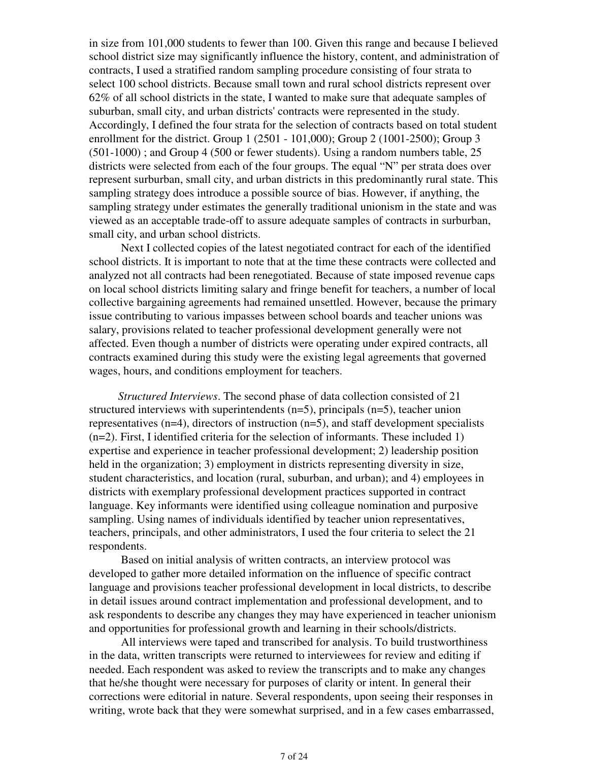in size from 101,000 students to fewer than 100. Given this range and because I believed school district size may significantly influence the history, content, and administration of contracts, I used a stratified random sampling procedure consisting of four strata to select 100 school districts. Because small town and rural school districts represent over 62% of all school districts in the state, I wanted to make sure that adequate samples of suburban, small city, and urban districts' contracts were represented in the study. Accordingly, I defined the four strata for the selection of contracts based on total student enrollment for the district. Group 1 (2501 - 101,000); Group 2 (1001-2500); Group 3 (501-1000) ; and Group 4 (500 or fewer students). Using a random numbers table, 25 districts were selected from each of the four groups. The equal "N" per strata does over represent surburban, small city, and urban districts in this predominantly rural state. This sampling strategy does introduce a possible source of bias. However, if anything, the sampling strategy under estimates the generally traditional unionism in the state and was viewed as an acceptable trade-off to assure adequate samples of contracts in surburban, small city, and urban school districts.

 Next I collected copies of the latest negotiated contract for each of the identified school districts. It is important to note that at the time these contracts were collected and analyzed not all contracts had been renegotiated. Because of state imposed revenue caps on local school districts limiting salary and fringe benefit for teachers, a number of local collective bargaining agreements had remained unsettled. However, because the primary issue contributing to various impasses between school boards and teacher unions was salary, provisions related to teacher professional development generally were not affected. Even though a number of districts were operating under expired contracts, all contracts examined during this study were the existing legal agreements that governed wages, hours, and conditions employment for teachers.

*Structured Interviews*. The second phase of data collection consisted of 21 structured interviews with superintendents  $(n=5)$ , principals  $(n=5)$ , teacher union representatives (n=4), directors of instruction (n=5), and staff development specialists (n=2). First, I identified criteria for the selection of informants. These included 1) expertise and experience in teacher professional development; 2) leadership position held in the organization; 3) employment in districts representing diversity in size, student characteristics, and location (rural, suburban, and urban); and 4) employees in districts with exemplary professional development practices supported in contract language. Key informants were identified using colleague nomination and purposive sampling. Using names of individuals identified by teacher union representatives, teachers, principals, and other administrators, I used the four criteria to select the 21 respondents.

 Based on initial analysis of written contracts, an interview protocol was developed to gather more detailed information on the influence of specific contract language and provisions teacher professional development in local districts, to describe in detail issues around contract implementation and professional development, and to ask respondents to describe any changes they may have experienced in teacher unionism and opportunities for professional growth and learning in their schools/districts.

 All interviews were taped and transcribed for analysis. To build trustworthiness in the data, written transcripts were returned to interviewees for review and editing if needed. Each respondent was asked to review the transcripts and to make any changes that he/she thought were necessary for purposes of clarity or intent. In general their corrections were editorial in nature. Several respondents, upon seeing their responses in writing, wrote back that they were somewhat surprised, and in a few cases embarrassed,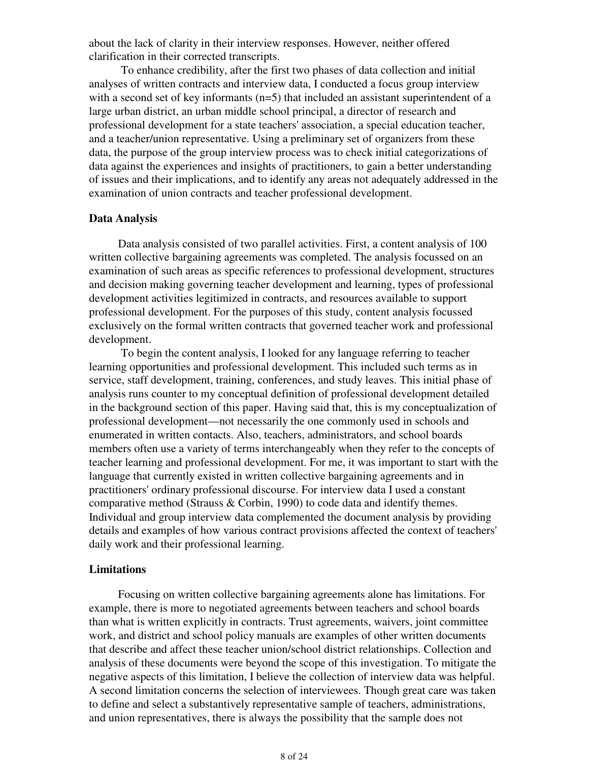about the lack of clarity in their interview responses. However, neither offered clarification in their corrected transcripts.

 To enhance credibility, after the first two phases of data collection and initial analyses of written contracts and interview data, I conducted a focus group interview with a second set of key informants (n=5) that included an assistant superintendent of a large urban district, an urban middle school principal, a director of research and professional development for a state teachers' association, a special education teacher, and a teacher/union representative. Using a preliminary set of organizers from these data, the purpose of the group interview process was to check initial categorizations of data against the experiences and insights of practitioners, to gain a better understanding of issues and their implications, and to identify any areas not adequately addressed in the examination of union contracts and teacher professional development.

#### **Data Analysis**

Data analysis consisted of two parallel activities. First, a content analysis of 100 written collective bargaining agreements was completed. The analysis focussed on an examination of such areas as specific references to professional development, structures and decision making governing teacher development and learning, types of professional development activities legitimized in contracts, and resources available to support professional development. For the purposes of this study, content analysis focussed exclusively on the formal written contracts that governed teacher work and professional development.

 To begin the content analysis, I looked for any language referring to teacher learning opportunities and professional development. This included such terms as in service, staff development, training, conferences, and study leaves. This initial phase of analysis runs counter to my conceptual definition of professional development detailed in the background section of this paper. Having said that, this is my conceptualization of professional development—not necessarily the one commonly used in schools and enumerated in written contacts. Also, teachers, administrators, and school boards members often use a variety of terms interchangeably when they refer to the concepts of teacher learning and professional development. For me, it was important to start with the language that currently existed in written collective bargaining agreements and in practitioners' ordinary professional discourse. For interview data I used a constant comparative method (Strauss & Corbin, 1990) to code data and identify themes. Individual and group interview data complemented the document analysis by providing details and examples of how various contract provisions affected the context of teachers' daily work and their professional learning.

#### **Limitations**

Focusing on written collective bargaining agreements alone has limitations. For example, there is more to negotiated agreements between teachers and school boards than what is written explicitly in contracts. Trust agreements, waivers, joint committee work, and district and school policy manuals are examples of other written documents that describe and affect these teacher union/school district relationships. Collection and analysis of these documents were beyond the scope of this investigation. To mitigate the negative aspects of this limitation, I believe the collection of interview data was helpful. A second limitation concerns the selection of interviewees. Though great care was taken to define and select a substantively representative sample of teachers, administrations, and union representatives, there is always the possibility that the sample does not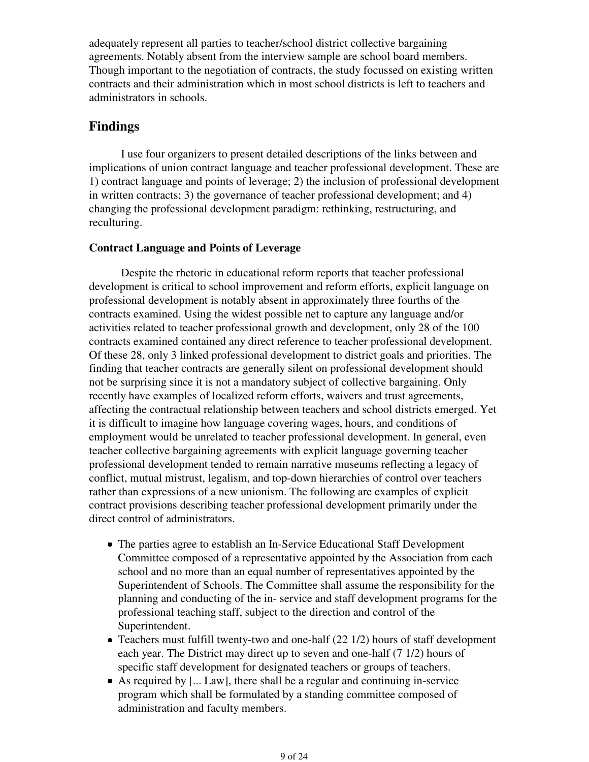adequately represent all parties to teacher/school district collective bargaining agreements. Notably absent from the interview sample are school board members. Though important to the negotiation of contracts, the study focussed on existing written contracts and their administration which in most school districts is left to teachers and administrators in schools.

# **Findings**

 I use four organizers to present detailed descriptions of the links between and implications of union contract language and teacher professional development. These are 1) contract language and points of leverage; 2) the inclusion of professional development in written contracts; 3) the governance of teacher professional development; and 4) changing the professional development paradigm: rethinking, restructuring, and reculturing.

## **Contract Language and Points of Leverage**

 Despite the rhetoric in educational reform reports that teacher professional development is critical to school improvement and reform efforts, explicit language on professional development is notably absent in approximately three fourths of the contracts examined. Using the widest possible net to capture any language and/or activities related to teacher professional growth and development, only 28 of the 100 contracts examined contained any direct reference to teacher professional development. Of these 28, only 3 linked professional development to district goals and priorities. The finding that teacher contracts are generally silent on professional development should not be surprising since it is not a mandatory subject of collective bargaining. Only recently have examples of localized reform efforts, waivers and trust agreements, affecting the contractual relationship between teachers and school districts emerged. Yet it is difficult to imagine how language covering wages, hours, and conditions of employment would be unrelated to teacher professional development. In general, even teacher collective bargaining agreements with explicit language governing teacher professional development tended to remain narrative museums reflecting a legacy of conflict, mutual mistrust, legalism, and top-down hierarchies of control over teachers rather than expressions of a new unionism. The following are examples of explicit contract provisions describing teacher professional development primarily under the direct control of administrators.

- The parties agree to establish an In-Service Educational Staff Development Committee composed of a representative appointed by the Association from each school and no more than an equal number of representatives appointed by the Superintendent of Schools. The Committee shall assume the responsibility for the planning and conducting of the in- service and staff development programs for the professional teaching staff, subject to the direction and control of the Superintendent.
- Teachers must fulfill twenty-two and one-half  $(22 1/2)$  hours of staff development each year. The District may direct up to seven and one-half (7 1/2) hours of specific staff development for designated teachers or groups of teachers.
- As required by [... Law], there shall be a regular and continuing in-service program which shall be formulated by a standing committee composed of administration and faculty members.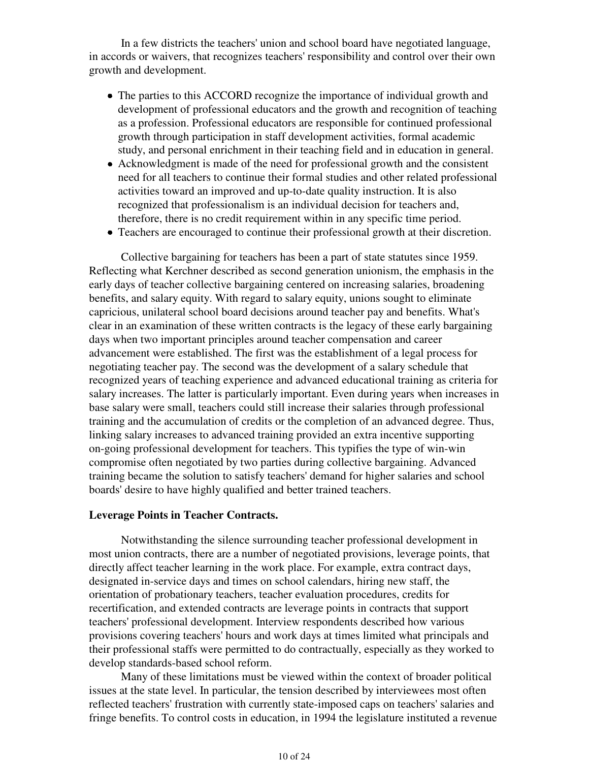In a few districts the teachers' union and school board have negotiated language, in accords or waivers, that recognizes teachers' responsibility and control over their own growth and development.

- The parties to this ACCORD recognize the importance of individual growth and development of professional educators and the growth and recognition of teaching as a profession. Professional educators are responsible for continued professional growth through participation in staff development activities, formal academic study, and personal enrichment in their teaching field and in education in general.
- Acknowledgment is made of the need for professional growth and the consistent need for all teachers to continue their formal studies and other related professional activities toward an improved and up-to-date quality instruction. It is also recognized that professionalism is an individual decision for teachers and, therefore, there is no credit requirement within in any specific time period.
- Teachers are encouraged to continue their professional growth at their discretion.

 Collective bargaining for teachers has been a part of state statutes since 1959. Reflecting what Kerchner described as second generation unionism, the emphasis in the early days of teacher collective bargaining centered on increasing salaries, broadening benefits, and salary equity. With regard to salary equity, unions sought to eliminate capricious, unilateral school board decisions around teacher pay and benefits. What's clear in an examination of these written contracts is the legacy of these early bargaining days when two important principles around teacher compensation and career advancement were established. The first was the establishment of a legal process for negotiating teacher pay. The second was the development of a salary schedule that recognized years of teaching experience and advanced educational training as criteria for salary increases. The latter is particularly important. Even during years when increases in base salary were small, teachers could still increase their salaries through professional training and the accumulation of credits or the completion of an advanced degree. Thus, linking salary increases to advanced training provided an extra incentive supporting on-going professional development for teachers. This typifies the type of win-win compromise often negotiated by two parties during collective bargaining. Advanced training became the solution to satisfy teachers' demand for higher salaries and school boards' desire to have highly qualified and better trained teachers.

#### **Leverage Points in Teacher Contracts.**

 Notwithstanding the silence surrounding teacher professional development in most union contracts, there are a number of negotiated provisions, leverage points, that directly affect teacher learning in the work place. For example, extra contract days, designated in-service days and times on school calendars, hiring new staff, the orientation of probationary teachers, teacher evaluation procedures, credits for recertification, and extended contracts are leverage points in contracts that support teachers' professional development. Interview respondents described how various provisions covering teachers' hours and work days at times limited what principals and their professional staffs were permitted to do contractually, especially as they worked to develop standards-based school reform.

 Many of these limitations must be viewed within the context of broader political issues at the state level. In particular, the tension described by interviewees most often reflected teachers' frustration with currently state-imposed caps on teachers' salaries and fringe benefits. To control costs in education, in 1994 the legislature instituted a revenue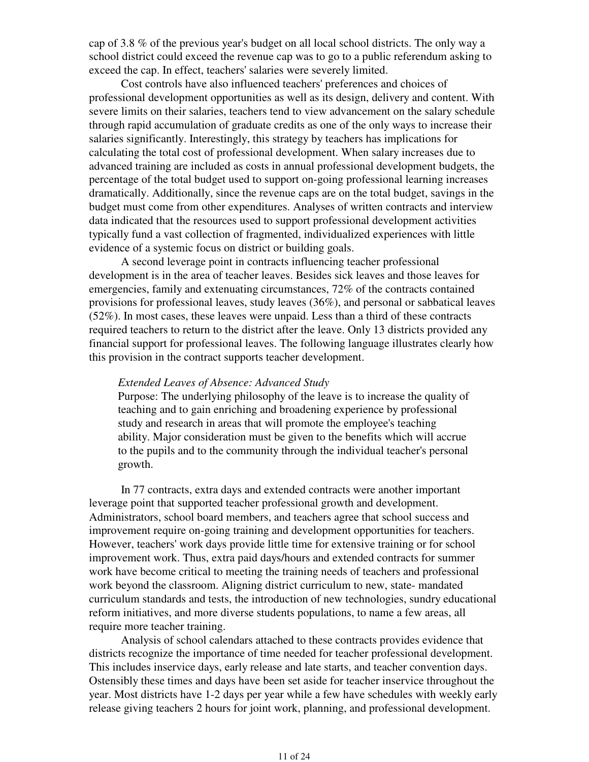cap of 3.8 % of the previous year's budget on all local school districts. The only way a school district could exceed the revenue cap was to go to a public referendum asking to exceed the cap. In effect, teachers' salaries were severely limited.

 Cost controls have also influenced teachers' preferences and choices of professional development opportunities as well as its design, delivery and content. With severe limits on their salaries, teachers tend to view advancement on the salary schedule through rapid accumulation of graduate credits as one of the only ways to increase their salaries significantly. Interestingly, this strategy by teachers has implications for calculating the total cost of professional development. When salary increases due to advanced training are included as costs in annual professional development budgets, the percentage of the total budget used to support on-going professional learning increases dramatically. Additionally, since the revenue caps are on the total budget, savings in the budget must come from other expenditures. Analyses of written contracts and interview data indicated that the resources used to support professional development activities typically fund a vast collection of fragmented, individualized experiences with little evidence of a systemic focus on district or building goals.

 A second leverage point in contracts influencing teacher professional development is in the area of teacher leaves. Besides sick leaves and those leaves for emergencies, family and extenuating circumstances, 72% of the contracts contained provisions for professional leaves, study leaves (36%), and personal or sabbatical leaves (52%). In most cases, these leaves were unpaid. Less than a third of these contracts required teachers to return to the district after the leave. Only 13 districts provided any financial support for professional leaves. The following language illustrates clearly how this provision in the contract supports teacher development.

#### *Extended Leaves of Absence: Advanced Study*

Purpose: The underlying philosophy of the leave is to increase the quality of teaching and to gain enriching and broadening experience by professional study and research in areas that will promote the employee's teaching ability. Major consideration must be given to the benefits which will accrue to the pupils and to the community through the individual teacher's personal growth.

 In 77 contracts, extra days and extended contracts were another important leverage point that supported teacher professional growth and development. Administrators, school board members, and teachers agree that school success and improvement require on-going training and development opportunities for teachers. However, teachers' work days provide little time for extensive training or for school improvement work. Thus, extra paid days/hours and extended contracts for summer work have become critical to meeting the training needs of teachers and professional work beyond the classroom. Aligning district curriculum to new, state- mandated curriculum standards and tests, the introduction of new technologies, sundry educational reform initiatives, and more diverse students populations, to name a few areas, all require more teacher training.

 Analysis of school calendars attached to these contracts provides evidence that districts recognize the importance of time needed for teacher professional development. This includes inservice days, early release and late starts, and teacher convention days. Ostensibly these times and days have been set aside for teacher inservice throughout the year. Most districts have 1-2 days per year while a few have schedules with weekly early release giving teachers 2 hours for joint work, planning, and professional development.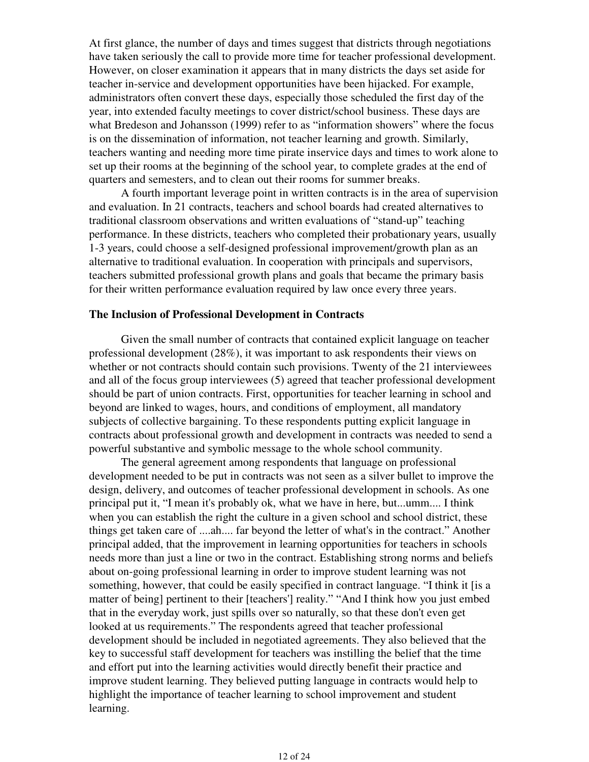At first glance, the number of days and times suggest that districts through negotiations have taken seriously the call to provide more time for teacher professional development. However, on closer examination it appears that in many districts the days set aside for teacher in-service and development opportunities have been hijacked. For example, administrators often convert these days, especially those scheduled the first day of the year, into extended faculty meetings to cover district/school business. These days are what Bredeson and Johansson (1999) refer to as "information showers" where the focus is on the dissemination of information, not teacher learning and growth. Similarly, teachers wanting and needing more time pirate inservice days and times to work alone to set up their rooms at the beginning of the school year, to complete grades at the end of quarters and semesters, and to clean out their rooms for summer breaks.

 A fourth important leverage point in written contracts is in the area of supervision and evaluation. In 21 contracts, teachers and school boards had created alternatives to traditional classroom observations and written evaluations of "stand-up" teaching performance. In these districts, teachers who completed their probationary years, usually 1-3 years, could choose a self-designed professional improvement/growth plan as an alternative to traditional evaluation. In cooperation with principals and supervisors, teachers submitted professional growth plans and goals that became the primary basis for their written performance evaluation required by law once every three years.

#### **The Inclusion of Professional Development in Contracts**

 Given the small number of contracts that contained explicit language on teacher professional development (28%), it was important to ask respondents their views on whether or not contracts should contain such provisions. Twenty of the 21 interviewees and all of the focus group interviewees (5) agreed that teacher professional development should be part of union contracts. First, opportunities for teacher learning in school and beyond are linked to wages, hours, and conditions of employment, all mandatory subjects of collective bargaining. To these respondents putting explicit language in contracts about professional growth and development in contracts was needed to send a powerful substantive and symbolic message to the whole school community.

 The general agreement among respondents that language on professional development needed to be put in contracts was not seen as a silver bullet to improve the design, delivery, and outcomes of teacher professional development in schools. As one principal put it, "I mean it's probably ok, what we have in here, but...umm.... I think when you can establish the right the culture in a given school and school district, these things get taken care of ....ah.... far beyond the letter of what's in the contract." Another principal added, that the improvement in learning opportunities for teachers in schools needs more than just a line or two in the contract. Establishing strong norms and beliefs about on-going professional learning in order to improve student learning was not something, however, that could be easily specified in contract language. "I think it [is a matter of being] pertinent to their [teachers'] reality." "And I think how you just embed that in the everyday work, just spills over so naturally, so that these don't even get looked at us requirements." The respondents agreed that teacher professional development should be included in negotiated agreements. They also believed that the key to successful staff development for teachers was instilling the belief that the time and effort put into the learning activities would directly benefit their practice and improve student learning. They believed putting language in contracts would help to highlight the importance of teacher learning to school improvement and student learning.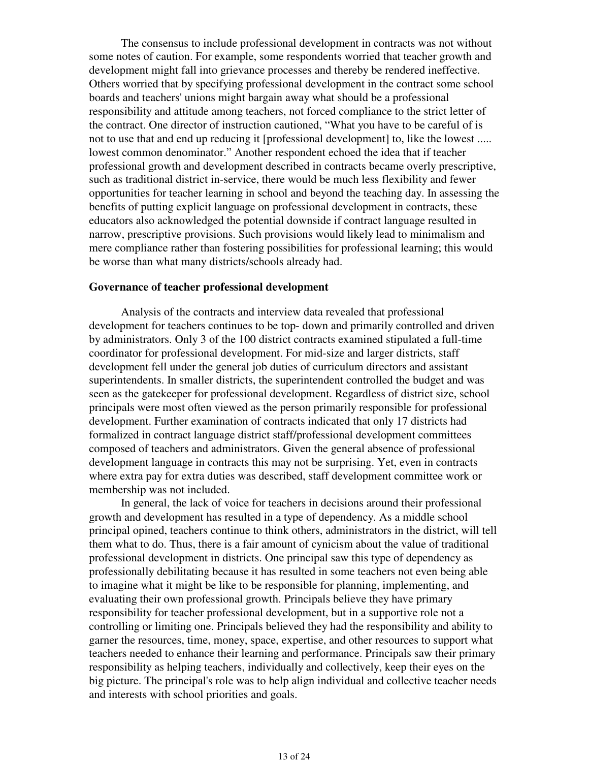The consensus to include professional development in contracts was not without some notes of caution. For example, some respondents worried that teacher growth and development might fall into grievance processes and thereby be rendered ineffective. Others worried that by specifying professional development in the contract some school boards and teachers' unions might bargain away what should be a professional responsibility and attitude among teachers, not forced compliance to the strict letter of the contract. One director of instruction cautioned, "What you have to be careful of is not to use that and end up reducing it [professional development] to, like the lowest ..... lowest common denominator." Another respondent echoed the idea that if teacher professional growth and development described in contracts became overly prescriptive, such as traditional district in-service, there would be much less flexibility and fewer opportunities for teacher learning in school and beyond the teaching day. In assessing the benefits of putting explicit language on professional development in contracts, these educators also acknowledged the potential downside if contract language resulted in narrow, prescriptive provisions. Such provisions would likely lead to minimalism and mere compliance rather than fostering possibilities for professional learning; this would be worse than what many districts/schools already had.

#### **Governance of teacher professional development**

 Analysis of the contracts and interview data revealed that professional development for teachers continues to be top- down and primarily controlled and driven by administrators. Only 3 of the 100 district contracts examined stipulated a full-time coordinator for professional development. For mid-size and larger districts, staff development fell under the general job duties of curriculum directors and assistant superintendents. In smaller districts, the superintendent controlled the budget and was seen as the gatekeeper for professional development. Regardless of district size, school principals were most often viewed as the person primarily responsible for professional development. Further examination of contracts indicated that only 17 districts had formalized in contract language district staff/professional development committees composed of teachers and administrators. Given the general absence of professional development language in contracts this may not be surprising. Yet, even in contracts where extra pay for extra duties was described, staff development committee work or membership was not included.

 In general, the lack of voice for teachers in decisions around their professional growth and development has resulted in a type of dependency. As a middle school principal opined, teachers continue to think others, administrators in the district, will tell them what to do. Thus, there is a fair amount of cynicism about the value of traditional professional development in districts. One principal saw this type of dependency as professionally debilitating because it has resulted in some teachers not even being able to imagine what it might be like to be responsible for planning, implementing, and evaluating their own professional growth. Principals believe they have primary responsibility for teacher professional development, but in a supportive role not a controlling or limiting one. Principals believed they had the responsibility and ability to garner the resources, time, money, space, expertise, and other resources to support what teachers needed to enhance their learning and performance. Principals saw their primary responsibility as helping teachers, individually and collectively, keep their eyes on the big picture. The principal's role was to help align individual and collective teacher needs and interests with school priorities and goals.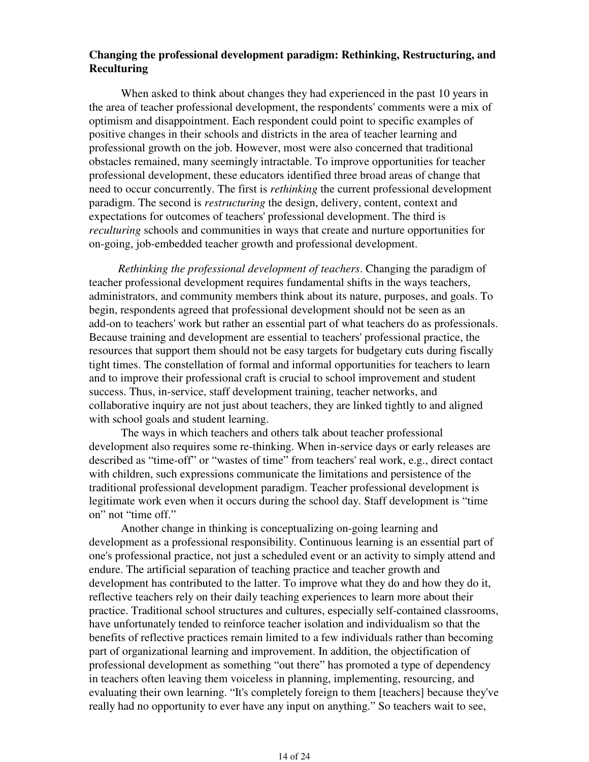## **Changing the professional development paradigm: Rethinking, Restructuring, and Reculturing**

 When asked to think about changes they had experienced in the past 10 years in the area of teacher professional development, the respondents' comments were a mix of optimism and disappointment. Each respondent could point to specific examples of positive changes in their schools and districts in the area of teacher learning and professional growth on the job. However, most were also concerned that traditional obstacles remained, many seemingly intractable. To improve opportunities for teacher professional development, these educators identified three broad areas of change that need to occur concurrently. The first is *rethinking* the current professional development paradigm. The second is *restructuring* the design, delivery, content, context and expectations for outcomes of teachers' professional development. The third is *reculturing* schools and communities in ways that create and nurture opportunities for on-going, job-embedded teacher growth and professional development.

*Rethinking the professional development of teachers*. Changing the paradigm of teacher professional development requires fundamental shifts in the ways teachers, administrators, and community members think about its nature, purposes, and goals. To begin, respondents agreed that professional development should not be seen as an add-on to teachers' work but rather an essential part of what teachers do as professionals. Because training and development are essential to teachers' professional practice, the resources that support them should not be easy targets for budgetary cuts during fiscally tight times. The constellation of formal and informal opportunities for teachers to learn and to improve their professional craft is crucial to school improvement and student success. Thus, in-service, staff development training, teacher networks, and collaborative inquiry are not just about teachers, they are linked tightly to and aligned with school goals and student learning.

 The ways in which teachers and others talk about teacher professional development also requires some re-thinking. When in-service days or early releases are described as "time-off" or "wastes of time" from teachers' real work, e.g., direct contact with children, such expressions communicate the limitations and persistence of the traditional professional development paradigm. Teacher professional development is legitimate work even when it occurs during the school day. Staff development is "time on" not "time off."

 Another change in thinking is conceptualizing on-going learning and development as a professional responsibility. Continuous learning is an essential part of one's professional practice, not just a scheduled event or an activity to simply attend and endure. The artificial separation of teaching practice and teacher growth and development has contributed to the latter. To improve what they do and how they do it, reflective teachers rely on their daily teaching experiences to learn more about their practice. Traditional school structures and cultures, especially self-contained classrooms, have unfortunately tended to reinforce teacher isolation and individualism so that the benefits of reflective practices remain limited to a few individuals rather than becoming part of organizational learning and improvement. In addition, the objectification of professional development as something "out there" has promoted a type of dependency in teachers often leaving them voiceless in planning, implementing, resourcing, and evaluating their own learning. "It's completely foreign to them [teachers] because they've really had no opportunity to ever have any input on anything." So teachers wait to see,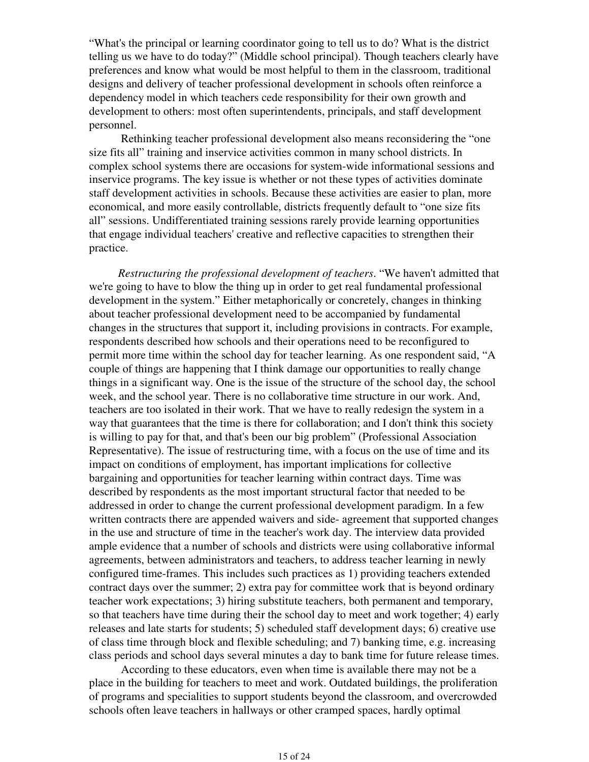"What's the principal or learning coordinator going to tell us to do? What is the district telling us we have to do today?" (Middle school principal). Though teachers clearly have preferences and know what would be most helpful to them in the classroom, traditional designs and delivery of teacher professional development in schools often reinforce a dependency model in which teachers cede responsibility for their own growth and development to others: most often superintendents, principals, and staff development personnel.

 Rethinking teacher professional development also means reconsidering the "one size fits all" training and inservice activities common in many school districts. In complex school systems there are occasions for system-wide informational sessions and inservice programs. The key issue is whether or not these types of activities dominate staff development activities in schools. Because these activities are easier to plan, more economical, and more easily controllable, districts frequently default to "one size fits all" sessions. Undifferentiated training sessions rarely provide learning opportunities that engage individual teachers' creative and reflective capacities to strengthen their practice.

*Restructuring the professional development of teachers*. "We haven't admitted that we're going to have to blow the thing up in order to get real fundamental professional development in the system." Either metaphorically or concretely, changes in thinking about teacher professional development need to be accompanied by fundamental changes in the structures that support it, including provisions in contracts. For example, respondents described how schools and their operations need to be reconfigured to permit more time within the school day for teacher learning. As one respondent said, "A couple of things are happening that I think damage our opportunities to really change things in a significant way. One is the issue of the structure of the school day, the school week, and the school year. There is no collaborative time structure in our work. And, teachers are too isolated in their work. That we have to really redesign the system in a way that guarantees that the time is there for collaboration; and I don't think this society is willing to pay for that, and that's been our big problem" (Professional Association Representative). The issue of restructuring time, with a focus on the use of time and its impact on conditions of employment, has important implications for collective bargaining and opportunities for teacher learning within contract days. Time was described by respondents as the most important structural factor that needed to be addressed in order to change the current professional development paradigm. In a few written contracts there are appended waivers and side- agreement that supported changes in the use and structure of time in the teacher's work day. The interview data provided ample evidence that a number of schools and districts were using collaborative informal agreements, between administrators and teachers, to address teacher learning in newly configured time-frames. This includes such practices as 1) providing teachers extended contract days over the summer; 2) extra pay for committee work that is beyond ordinary teacher work expectations; 3) hiring substitute teachers, both permanent and temporary, so that teachers have time during their the school day to meet and work together; 4) early releases and late starts for students; 5) scheduled staff development days; 6) creative use of class time through block and flexible scheduling; and 7) banking time, e.g. increasing class periods and school days several minutes a day to bank time for future release times.

 According to these educators, even when time is available there may not be a place in the building for teachers to meet and work. Outdated buildings, the proliferation of programs and specialities to support students beyond the classroom, and overcrowded schools often leave teachers in hallways or other cramped spaces, hardly optimal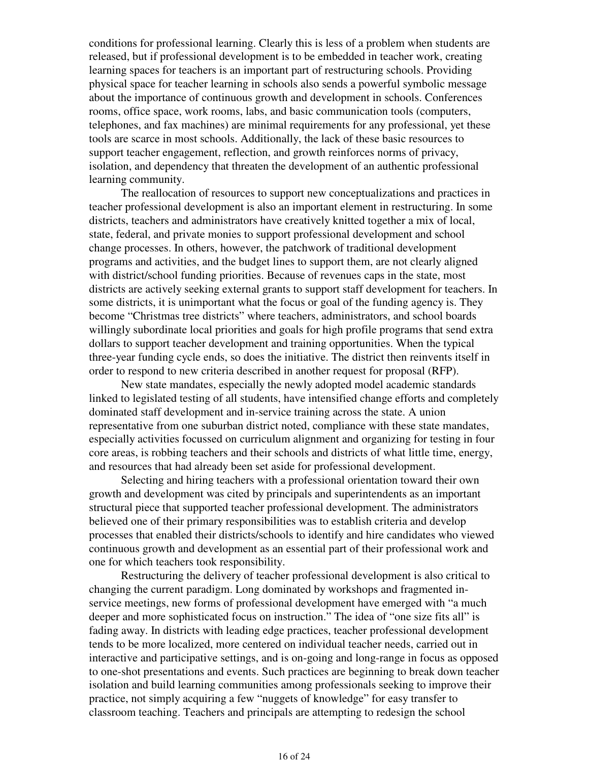conditions for professional learning. Clearly this is less of a problem when students are released, but if professional development is to be embedded in teacher work, creating learning spaces for teachers is an important part of restructuring schools. Providing physical space for teacher learning in schools also sends a powerful symbolic message about the importance of continuous growth and development in schools. Conferences rooms, office space, work rooms, labs, and basic communication tools (computers, telephones, and fax machines) are minimal requirements for any professional, yet these tools are scarce in most schools. Additionally, the lack of these basic resources to support teacher engagement, reflection, and growth reinforces norms of privacy, isolation, and dependency that threaten the development of an authentic professional learning community.

 The reallocation of resources to support new conceptualizations and practices in teacher professional development is also an important element in restructuring. In some districts, teachers and administrators have creatively knitted together a mix of local, state, federal, and private monies to support professional development and school change processes. In others, however, the patchwork of traditional development programs and activities, and the budget lines to support them, are not clearly aligned with district/school funding priorities. Because of revenues caps in the state, most districts are actively seeking external grants to support staff development for teachers. In some districts, it is unimportant what the focus or goal of the funding agency is. They become "Christmas tree districts" where teachers, administrators, and school boards willingly subordinate local priorities and goals for high profile programs that send extra dollars to support teacher development and training opportunities. When the typical three-year funding cycle ends, so does the initiative. The district then reinvents itself in order to respond to new criteria described in another request for proposal (RFP).

 New state mandates, especially the newly adopted model academic standards linked to legislated testing of all students, have intensified change efforts and completely dominated staff development and in-service training across the state. A union representative from one suburban district noted, compliance with these state mandates, especially activities focussed on curriculum alignment and organizing for testing in four core areas, is robbing teachers and their schools and districts of what little time, energy, and resources that had already been set aside for professional development.

 Selecting and hiring teachers with a professional orientation toward their own growth and development was cited by principals and superintendents as an important structural piece that supported teacher professional development. The administrators believed one of their primary responsibilities was to establish criteria and develop processes that enabled their districts/schools to identify and hire candidates who viewed continuous growth and development as an essential part of their professional work and one for which teachers took responsibility.

 Restructuring the delivery of teacher professional development is also critical to changing the current paradigm. Long dominated by workshops and fragmented inservice meetings, new forms of professional development have emerged with "a much deeper and more sophisticated focus on instruction." The idea of "one size fits all" is fading away. In districts with leading edge practices, teacher professional development tends to be more localized, more centered on individual teacher needs, carried out in interactive and participative settings, and is on-going and long-range in focus as opposed to one-shot presentations and events. Such practices are beginning to break down teacher isolation and build learning communities among professionals seeking to improve their practice, not simply acquiring a few "nuggets of knowledge" for easy transfer to classroom teaching. Teachers and principals are attempting to redesign the school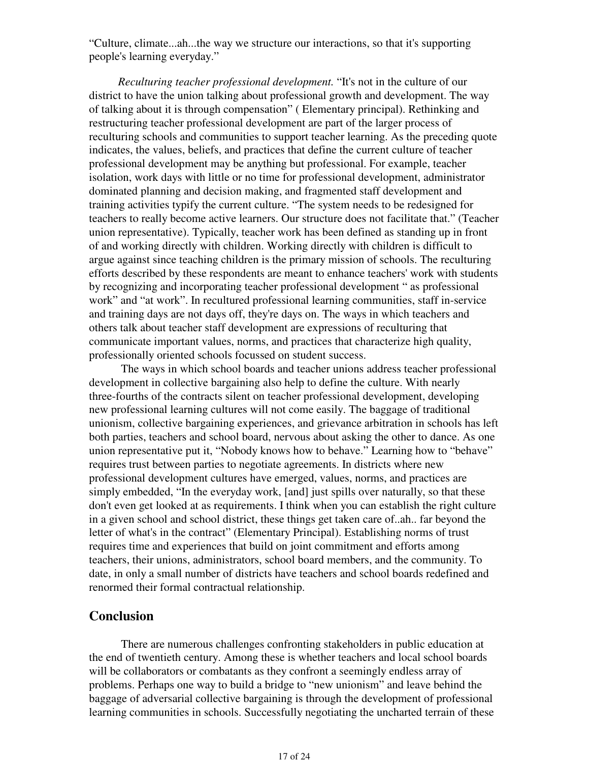"Culture, climate...ah...the way we structure our interactions, so that it's supporting people's learning everyday."

*Reculturing teacher professional development.* "It's not in the culture of our district to have the union talking about professional growth and development. The way of talking about it is through compensation" ( Elementary principal). Rethinking and restructuring teacher professional development are part of the larger process of reculturing schools and communities to support teacher learning. As the preceding quote indicates, the values, beliefs, and practices that define the current culture of teacher professional development may be anything but professional. For example, teacher isolation, work days with little or no time for professional development, administrator dominated planning and decision making, and fragmented staff development and training activities typify the current culture. "The system needs to be redesigned for teachers to really become active learners. Our structure does not facilitate that." (Teacher union representative). Typically, teacher work has been defined as standing up in front of and working directly with children. Working directly with children is difficult to argue against since teaching children is the primary mission of schools. The reculturing efforts described by these respondents are meant to enhance teachers' work with students by recognizing and incorporating teacher professional development " as professional work" and "at work". In recultured professional learning communities, staff in-service and training days are not days off, they're days on. The ways in which teachers and others talk about teacher staff development are expressions of reculturing that communicate important values, norms, and practices that characterize high quality, professionally oriented schools focussed on student success.

 The ways in which school boards and teacher unions address teacher professional development in collective bargaining also help to define the culture. With nearly three-fourths of the contracts silent on teacher professional development, developing new professional learning cultures will not come easily. The baggage of traditional unionism, collective bargaining experiences, and grievance arbitration in schools has left both parties, teachers and school board, nervous about asking the other to dance. As one union representative put it, "Nobody knows how to behave." Learning how to "behave" requires trust between parties to negotiate agreements. In districts where new professional development cultures have emerged, values, norms, and practices are simply embedded, "In the everyday work, [and] just spills over naturally, so that these don't even get looked at as requirements. I think when you can establish the right culture in a given school and school district, these things get taken care of..ah.. far beyond the letter of what's in the contract" (Elementary Principal). Establishing norms of trust requires time and experiences that build on joint commitment and efforts among teachers, their unions, administrators, school board members, and the community. To date, in only a small number of districts have teachers and school boards redefined and renormed their formal contractual relationship.

## **Conclusion**

 There are numerous challenges confronting stakeholders in public education at the end of twentieth century. Among these is whether teachers and local school boards will be collaborators or combatants as they confront a seemingly endless array of problems. Perhaps one way to build a bridge to "new unionism" and leave behind the baggage of adversarial collective bargaining is through the development of professional learning communities in schools. Successfully negotiating the uncharted terrain of these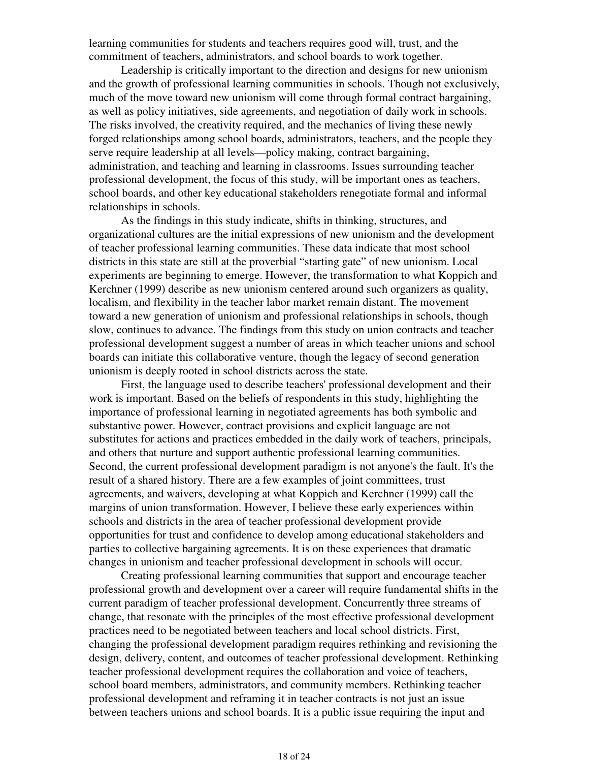learning communities for students and teachers requires good will, trust, and the commitment of teachers, administrators, and school boards to work together.

 Leadership is critically important to the direction and designs for new unionism and the growth of professional learning communities in schools. Though not exclusively, much of the move toward new unionism will come through formal contract bargaining, as well as policy initiatives, side agreements, and negotiation of daily work in schools. The risks involved, the creativity required, and the mechanics of living these newly forged relationships among school boards, administrators, teachers, and the people they serve require leadership at all levels—policy making, contract bargaining, administration, and teaching and learning in classrooms. Issues surrounding teacher professional development, the focus of this study, will be important ones as teachers, school boards, and other key educational stakeholders renegotiate formal and informal relationships in schools.

 As the findings in this study indicate, shifts in thinking, structures, and organizational cultures are the initial expressions of new unionism and the development of teacher professional learning communities. These data indicate that most school districts in this state are still at the proverbial "starting gate" of new unionism. Local experiments are beginning to emerge. However, the transformation to what Koppich and Kerchner (1999) describe as new unionism centered around such organizers as quality, localism, and flexibility in the teacher labor market remain distant. The movement toward a new generation of unionism and professional relationships in schools, though slow, continues to advance. The findings from this study on union contracts and teacher professional development suggest a number of areas in which teacher unions and school boards can initiate this collaborative venture, though the legacy of second generation unionism is deeply rooted in school districts across the state.

 First, the language used to describe teachers' professional development and their work is important. Based on the beliefs of respondents in this study, highlighting the importance of professional learning in negotiated agreements has both symbolic and substantive power. However, contract provisions and explicit language are not substitutes for actions and practices embedded in the daily work of teachers, principals, and others that nurture and support authentic professional learning communities. Second, the current professional development paradigm is not anyone's the fault. It's the result of a shared history. There are a few examples of joint committees, trust agreements, and waivers, developing at what Koppich and Kerchner (1999) call the margins of union transformation. However, I believe these early experiences within schools and districts in the area of teacher professional development provide opportunities for trust and confidence to develop among educational stakeholders and parties to collective bargaining agreements. It is on these experiences that dramatic changes in unionism and teacher professional development in schools will occur.

 Creating professional learning communities that support and encourage teacher professional growth and development over a career will require fundamental shifts in the current paradigm of teacher professional development. Concurrently three streams of change, that resonate with the principles of the most effective professional development practices need to be negotiated between teachers and local school districts. First, changing the professional development paradigm requires rethinking and revisioning the design, delivery, content, and outcomes of teacher professional development. Rethinking teacher professional development requires the collaboration and voice of teachers, school board members, administrators, and community members. Rethinking teacher professional development and reframing it in teacher contracts is not just an issue between teachers unions and school boards. It is a public issue requiring the input and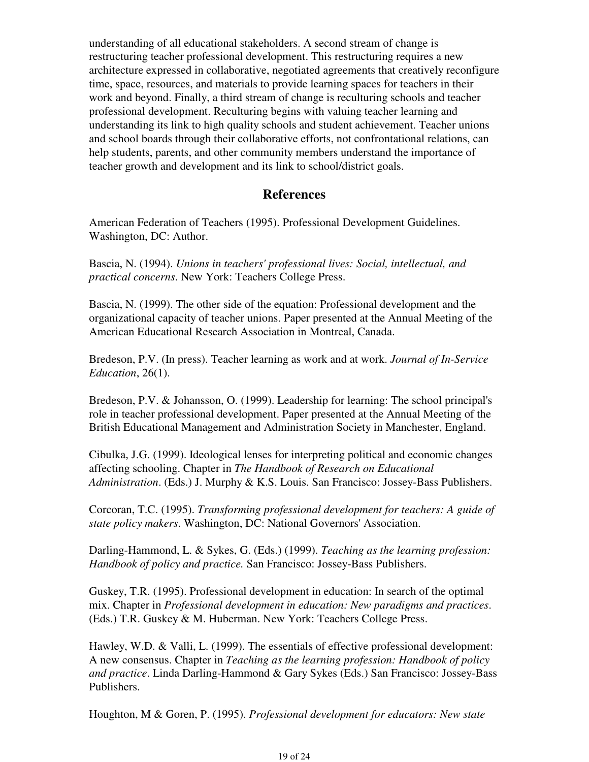understanding of all educational stakeholders. A second stream of change is restructuring teacher professional development. This restructuring requires a new architecture expressed in collaborative, negotiated agreements that creatively reconfigure time, space, resources, and materials to provide learning spaces for teachers in their work and beyond. Finally, a third stream of change is reculturing schools and teacher professional development. Reculturing begins with valuing teacher learning and understanding its link to high quality schools and student achievement. Teacher unions and school boards through their collaborative efforts, not confrontational relations, can help students, parents, and other community members understand the importance of teacher growth and development and its link to school/district goals.

# **References**

American Federation of Teachers (1995). Professional Development Guidelines. Washington, DC: Author.

Bascia, N. (1994). *Unions in teachers' professional lives: Social, intellectual, and practical concerns*. New York: Teachers College Press.

Bascia, N. (1999). The other side of the equation: Professional development and the organizational capacity of teacher unions. Paper presented at the Annual Meeting of the American Educational Research Association in Montreal, Canada.

Bredeson, P.V. (In press). Teacher learning as work and at work. *Journal of In-Service Education*, 26(1).

Bredeson, P.V. & Johansson, O. (1999). Leadership for learning: The school principal's role in teacher professional development. Paper presented at the Annual Meeting of the British Educational Management and Administration Society in Manchester, England.

Cibulka, J.G. (1999). Ideological lenses for interpreting political and economic changes affecting schooling. Chapter in *The Handbook of Research on Educational Administration*. (Eds.) J. Murphy & K.S. Louis. San Francisco: Jossey-Bass Publishers.

Corcoran, T.C. (1995). *Transforming professional development for teachers: A guide of state policy makers*. Washington, DC: National Governors' Association.

Darling-Hammond, L. & Sykes, G. (Eds.) (1999). *Teaching as the learning profession: Handbook of policy and practice.* San Francisco: Jossey-Bass Publishers.

Guskey, T.R. (1995). Professional development in education: In search of the optimal mix. Chapter in *Professional development in education: New paradigms and practices*. (Eds.) T.R. Guskey & M. Huberman. New York: Teachers College Press.

Hawley, W.D. & Valli, L. (1999). The essentials of effective professional development: A new consensus. Chapter in *Teaching as the learning profession: Handbook of policy and practice*. Linda Darling-Hammond & Gary Sykes (Eds.) San Francisco: Jossey-Bass Publishers.

Houghton, M & Goren, P. (1995). *Professional development for educators: New state*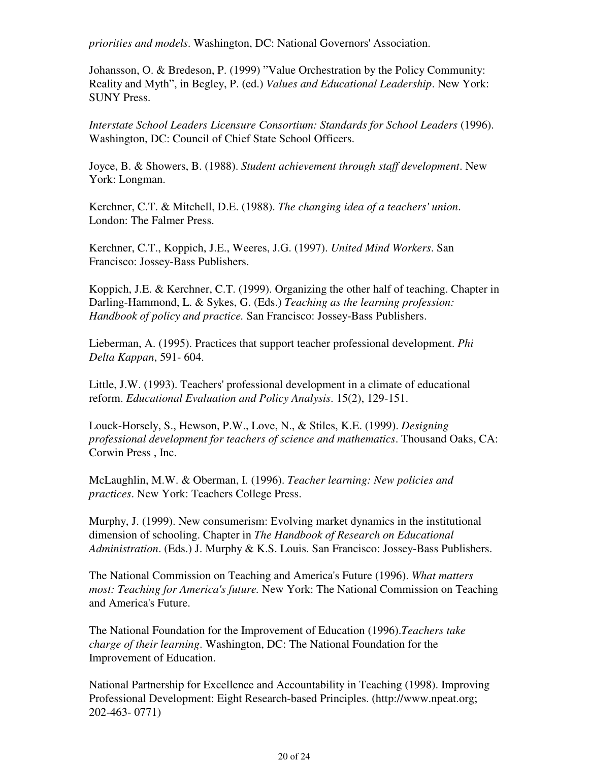*priorities and models*. Washington, DC: National Governors' Association.

Johansson, O. & Bredeson, P. (1999) "Value Orchestration by the Policy Community: Reality and Myth", in Begley, P. (ed.) *Values and Educational Leadership*. New York: SUNY Press.

*Interstate School Leaders Licensure Consortium: Standards for School Leaders* (1996). Washington, DC: Council of Chief State School Officers.

Joyce, B. & Showers, B. (1988). *Student achievement through staff development*. New York: Longman.

Kerchner, C.T. & Mitchell, D.E. (1988). *The changing idea of a teachers' union*. London: The Falmer Press.

Kerchner, C.T., Koppich, J.E., Weeres, J.G. (1997). *United Mind Workers*. San Francisco: Jossey-Bass Publishers.

Koppich, J.E. & Kerchner, C.T. (1999). Organizing the other half of teaching. Chapter in Darling-Hammond, L. & Sykes, G. (Eds.) *Teaching as the learning profession: Handbook of policy and practice.* San Francisco: Jossey-Bass Publishers.

Lieberman, A. (1995). Practices that support teacher professional development. *Phi Delta Kappan*, 591- 604.

Little, J.W. (1993). Teachers' professional development in a climate of educational reform. *Educational Evaluation and Policy Analysis*. 15(2), 129-151.

Louck-Horsely, S., Hewson, P.W., Love, N., & Stiles, K.E. (1999). *Designing professional development for teachers of science and mathematics*. Thousand Oaks, CA: Corwin Press , Inc.

McLaughlin, M.W. & Oberman, I. (1996). *Teacher learning: New policies and practices*. New York: Teachers College Press.

Murphy, J. (1999). New consumerism: Evolving market dynamics in the institutional dimension of schooling. Chapter in *The Handbook of Research on Educational Administration*. (Eds.) J. Murphy & K.S. Louis. San Francisco: Jossey-Bass Publishers.

The National Commission on Teaching and America's Future (1996). *What matters most: Teaching for America's future.* New York: The National Commission on Teaching and America's Future.

The National Foundation for the Improvement of Education (1996).*Teachers take charge of their learning*. Washington, DC: The National Foundation for the Improvement of Education.

National Partnership for Excellence and Accountability in Teaching (1998). Improving Professional Development: Eight Research-based Principles. (http://www.npeat.org; 202-463- 0771)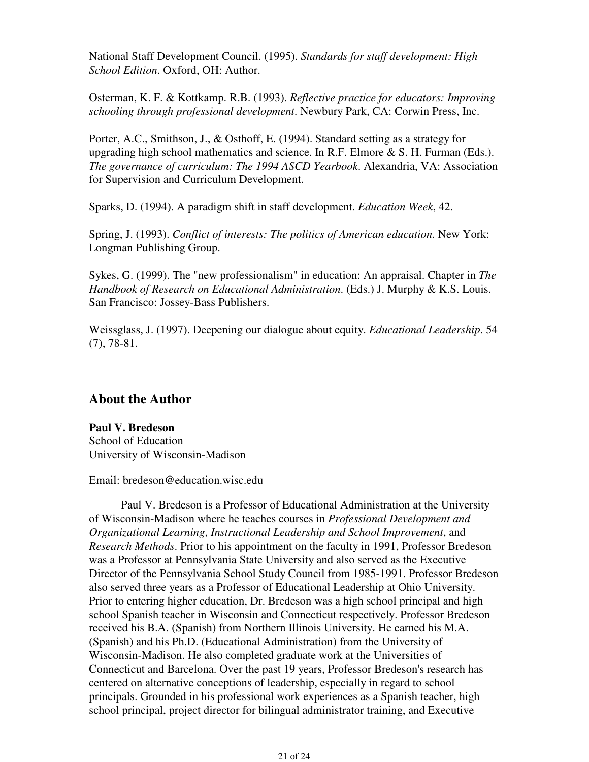National Staff Development Council. (1995). *Standards for staff development: High School Edition*. Oxford, OH: Author.

Osterman, K. F. & Kottkamp. R.B. (1993). *Reflective practice for educators: Improving schooling through professional development*. Newbury Park, CA: Corwin Press, Inc.

Porter, A.C., Smithson, J., & Osthoff, E. (1994). Standard setting as a strategy for upgrading high school mathematics and science. In R.F. Elmore & S. H. Furman (Eds.). *The governance of curriculum: The 1994 ASCD Yearbook*. Alexandria, VA: Association for Supervision and Curriculum Development.

Sparks, D. (1994). A paradigm shift in staff development. *Education Week*, 42.

Spring, J. (1993). *Conflict of interests: The politics of American education.* New York: Longman Publishing Group.

Sykes, G. (1999). The "new professionalism" in education: An appraisal. Chapter in *The Handbook of Research on Educational Administration*. (Eds.) J. Murphy & K.S. Louis. San Francisco: Jossey-Bass Publishers.

Weissglass, J. (1997). Deepening our dialogue about equity. *Educational Leadership*. 54 (7), 78-81.

# **About the Author**

**Paul V. Bredeson** School of Education University of Wisconsin-Madison

Email: bredeson@education.wisc.edu

 Paul V. Bredeson is a Professor of Educational Administration at the University of Wisconsin-Madison where he teaches courses in *Professional Development and Organizational Learning*, *Instructional Leadership and School Improvement*, and *Research Methods*. Prior to his appointment on the faculty in 1991, Professor Bredeson was a Professor at Pennsylvania State University and also served as the Executive Director of the Pennsylvania School Study Council from 1985-1991. Professor Bredeson also served three years as a Professor of Educational Leadership at Ohio University. Prior to entering higher education, Dr. Bredeson was a high school principal and high school Spanish teacher in Wisconsin and Connecticut respectively. Professor Bredeson received his B.A. (Spanish) from Northern Illinois University. He earned his M.A. (Spanish) and his Ph.D. (Educational Administration) from the University of Wisconsin-Madison. He also completed graduate work at the Universities of Connecticut and Barcelona. Over the past 19 years, Professor Bredeson's research has centered on alternative conceptions of leadership, especially in regard to school principals. Grounded in his professional work experiences as a Spanish teacher, high school principal, project director for bilingual administrator training, and Executive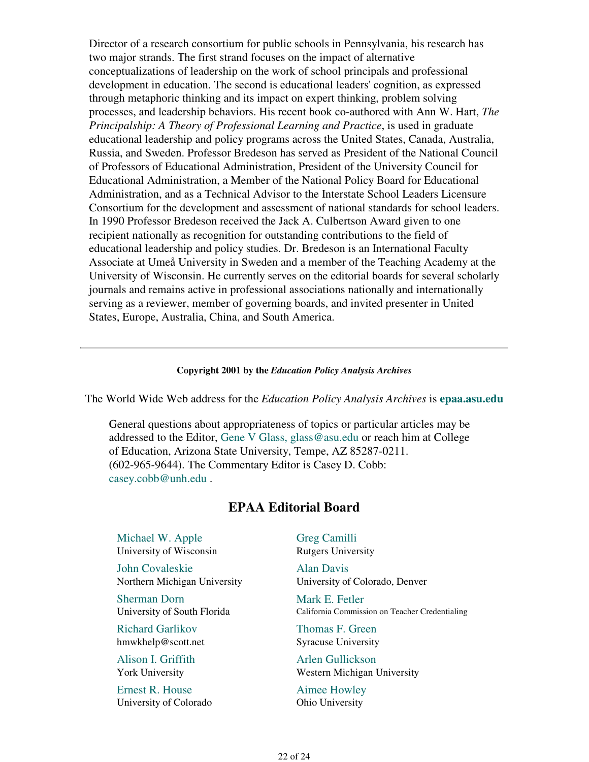Director of a research consortium for public schools in Pennsylvania, his research has two major strands. The first strand focuses on the impact of alternative conceptualizations of leadership on the work of school principals and professional development in education. The second is educational leaders' cognition, as expressed through metaphoric thinking and its impact on expert thinking, problem solving processes, and leadership behaviors. His recent book co-authored with Ann W. Hart, *The Principalship: A Theory of Professional Learning and Practice*, is used in graduate educational leadership and policy programs across the United States, Canada, Australia, Russia, and Sweden. Professor Bredeson has served as President of the National Council of Professors of Educational Administration, President of the University Council for Educational Administration, a Member of the National Policy Board for Educational Administration, and as a Technical Advisor to the Interstate School Leaders Licensure Consortium for the development and assessment of national standards for school leaders. In 1990 Professor Bredeson received the Jack A. Culbertson Award given to one recipient nationally as recognition for outstanding contributions to the field of educational leadership and policy studies. Dr. Bredeson is an International Faculty Associate at Umeå University in Sweden and a member of the Teaching Academy at the University of Wisconsin. He currently serves on the editorial boards for several scholarly journals and remains active in professional associations nationally and internationally serving as a reviewer, member of governing boards, and invited presenter in United States, Europe, Australia, China, and South America.

#### **Copyright 2001 by the** *Education Policy Analysis Archives*

The World Wide Web address for the *Education Policy Analysis Archives* is **epaa.asu.edu**

General questions about appropriateness of topics or particular articles may be addressed to the Editor, Gene V Glass, glass@asu.edu or reach him at College of Education, Arizona State University, Tempe, AZ 85287-0211. (602-965-9644). The Commentary Editor is Casey D. Cobb: casey.cobb@unh.edu .

### **EPAA Editorial Board**

Michael W. Apple University of Wisconsin

John Covaleskie Northern Michigan University

Sherman Dorn University of South Florida

Richard Garlikov hmwkhelp@scott.net

Alison I. Griffith York University

Ernest R. House University of Colorado Greg Camilli Rutgers University

Alan Davis University of Colorado, Denver

Mark E. Fetler California Commission on Teacher Credentialing

Thomas F. Green Syracuse University

Arlen Gullickson Western Michigan University

Aimee Howley Ohio University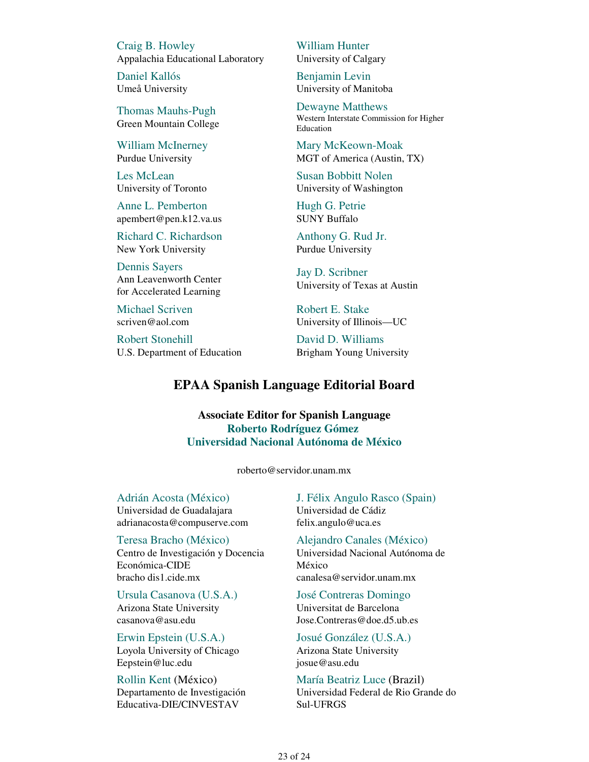Craig B. Howley Appalachia Educational Laboratory

Daniel Kallós Umeå University

Thomas Mauhs-Pugh Green Mountain College

William McInerney Purdue University

Les McLean University of Toronto

Anne L. Pemberton apembert@pen.k12.va.us

Richard C. Richardson New York University

Dennis Sayers Ann Leavenworth Center for Accelerated Learning

Michael Scriven scriven@aol.com

Robert Stonehill U.S. Department of Education William Hunter University of Calgary

Benjamin Levin University of Manitoba

Dewayne Matthews Western Interstate Commission for Higher Education

Mary McKeown-Moak MGT of America (Austin, TX)

Susan Bobbitt Nolen University of Washington

Hugh G. Petrie SUNY Buffalo

Anthony G. Rud Jr. Purdue University

Jay D. Scribner University of Texas at Austin

Robert E. Stake University of Illinois—UC

David D. Williams Brigham Young University

# **EPAA Spanish Language Editorial Board**

**Associate Editor for Spanish Language Roberto Rodríguez Gómez Universidad Nacional Autónoma de México**

roberto@servidor.unam.mx

Adrián Acosta (México) Universidad de Guadalajara adrianacosta@compuserve.com

Teresa Bracho (México) Centro de Investigación y Docencia Económica-CIDE bracho dis1.cide.mx

Ursula Casanova (U.S.A.) Arizona State University casanova@asu.edu

Erwin Epstein (U.S.A.) Loyola University of Chicago Eepstein@luc.edu

Rollin Kent (México) Departamento de Investigación Educativa-DIE/CINVESTAV

J. Félix Angulo Rasco (Spain) Universidad de Cádiz felix.angulo@uca.es

Alejandro Canales (México) Universidad Nacional Autónoma de México canalesa@servidor.unam.mx

José Contreras Domingo Universitat de Barcelona Jose.Contreras@doe.d5.ub.es

Josué González (U.S.A.) Arizona State University josue@asu.edu

María Beatriz Luce (Brazil) Universidad Federal de Rio Grande do Sul-UFRGS